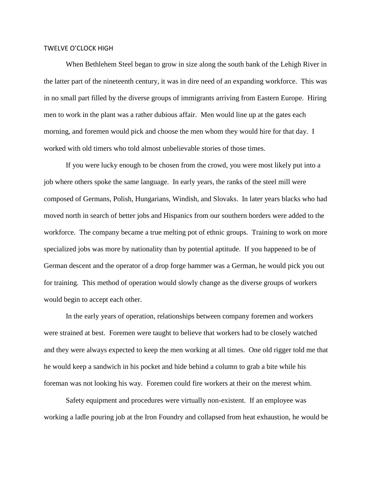## TWELVE O'CLOCK HIGH

When Bethlehem Steel began to grow in size along the south bank of the Lehigh River in the latter part of the nineteenth century, it was in dire need of an expanding workforce. This was in no small part filled by the diverse groups of immigrants arriving from Eastern Europe. Hiring men to work in the plant was a rather dubious affair. Men would line up at the gates each morning, and foremen would pick and choose the men whom they would hire for that day. I worked with old timers who told almost unbelievable stories of those times.

If you were lucky enough to be chosen from the crowd, you were most likely put into a job where others spoke the same language. In early years, the ranks of the steel mill were composed of Germans, Polish, Hungarians, Windish, and Slovaks. In later years blacks who had moved north in search of better jobs and Hispanics from our southern borders were added to the workforce. The company became a true melting pot of ethnic groups. Training to work on more specialized jobs was more by nationality than by potential aptitude. If you happened to be of German descent and the operator of a drop forge hammer was a German, he would pick you out for training. This method of operation would slowly change as the diverse groups of workers would begin to accept each other.

In the early years of operation, relationships between company foremen and workers were strained at best. Foremen were taught to believe that workers had to be closely watched and they were always expected to keep the men working at all times. One old rigger told me that he would keep a sandwich in his pocket and hide behind a column to grab a bite while his foreman was not looking his way. Foremen could fire workers at their on the merest whim.

Safety equipment and procedures were virtually non-existent. If an employee was working a ladle pouring job at the Iron Foundry and collapsed from heat exhaustion, he would be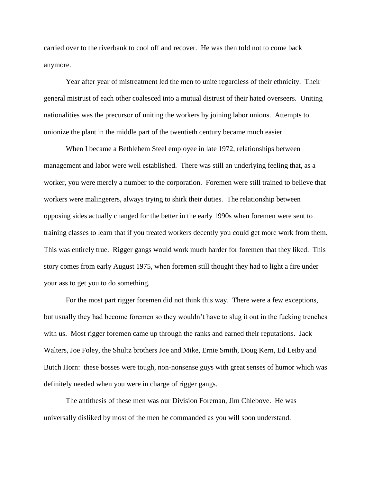carried over to the riverbank to cool off and recover. He was then told not to come back anymore.

Year after year of mistreatment led the men to unite regardless of their ethnicity. Their general mistrust of each other coalesced into a mutual distrust of their hated overseers. Uniting nationalities was the precursor of uniting the workers by joining labor unions. Attempts to unionize the plant in the middle part of the twentieth century became much easier.

When I became a Bethlehem Steel employee in late 1972, relationships between management and labor were well established. There was still an underlying feeling that, as a worker, you were merely a number to the corporation. Foremen were still trained to believe that workers were malingerers, always trying to shirk their duties. The relationship between opposing sides actually changed for the better in the early 1990s when foremen were sent to training classes to learn that if you treated workers decently you could get more work from them. This was entirely true. Rigger gangs would work much harder for foremen that they liked. This story comes from early August 1975, when foremen still thought they had to light a fire under your ass to get you to do something.

For the most part rigger foremen did not think this way. There were a few exceptions, but usually they had become foremen so they wouldn't have to slug it out in the fucking trenches with us. Most rigger foremen came up through the ranks and earned their reputations. Jack Walters, Joe Foley, the Shultz brothers Joe and Mike, Ernie Smith, Doug Kern, Ed Leiby and Butch Horn: these bosses were tough, non-nonsense guys with great senses of humor which was definitely needed when you were in charge of rigger gangs.

The antithesis of these men was our Division Foreman, Jim Chlebove. He was universally disliked by most of the men he commanded as you will soon understand.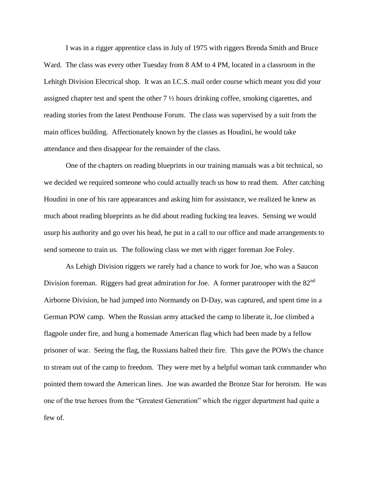I was in a rigger apprentice class in July of 1975 with riggers Brenda Smith and Bruce Ward. The class was every other Tuesday from 8 AM to 4 PM, located in a classroom in the Lehitgh Division Electrical shop. It was an I.C.S. mail order course which meant you did your assigned chapter test and spent the other 7 ½ hours drinking coffee, smoking cigarettes, and reading stories from the latest Penthouse Forum. The class was supervised by a suit from the main offices building. Affectionately known by the classes as Houdini, he would take attendance and then disappear for the remainder of the class.

One of the chapters on reading blueprints in our training manuals was a bit technical, so we decided we required someone who could actually teach us how to read them. After catching Houdini in one of his rare appearances and asking him for assistance, we realized he knew as much about reading blueprints as he did about reading fucking tea leaves. Sensing we would usurp his authority and go over his head, he put in a call to our office and made arrangements to send someone to train us. The following class we met with rigger foreman Joe Foley.

As Lehigh Division riggers we rarely had a chance to work for Joe, who was a Saucon Division foreman. Riggers had great admiration for Joe. A former paratrooper with the  $82<sup>nd</sup>$ Airborne Division, he had jumped into Normandy on D-Day, was captured, and spent time in a German POW camp. When the Russian army attacked the camp to liberate it, Joe climbed a flagpole under fire, and hung a homemade American flag which had been made by a fellow prisoner of war. Seeing the flag, the Russians halted their fire. This gave the POWs the chance to stream out of the camp to freedom. They were met by a helpful woman tank commander who pointed them toward the American lines. Joe was awarded the Bronze Star for heroism. He was one of the true heroes from the "Greatest Generation" which the rigger department had quite a few of.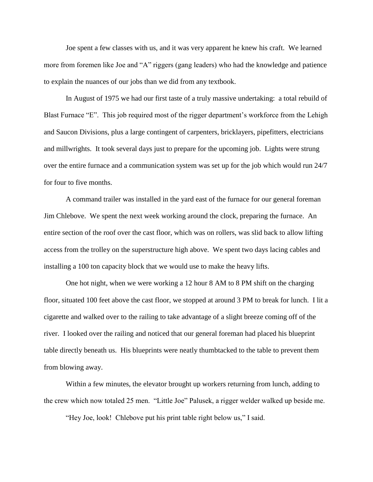Joe spent a few classes with us, and it was very apparent he knew his craft. We learned more from foremen like Joe and "A" riggers (gang leaders) who had the knowledge and patience to explain the nuances of our jobs than we did from any textbook.

In August of 1975 we had our first taste of a truly massive undertaking: a total rebuild of Blast Furnace "E". This job required most of the rigger department's workforce from the Lehigh and Saucon Divisions, plus a large contingent of carpenters, bricklayers, pipefitters, electricians and millwrights. It took several days just to prepare for the upcoming job. Lights were strung over the entire furnace and a communication system was set up for the job which would run 24/7 for four to five months.

A command trailer was installed in the yard east of the furnace for our general foreman Jim Chlebove. We spent the next week working around the clock, preparing the furnace. An entire section of the roof over the cast floor, which was on rollers, was slid back to allow lifting access from the trolley on the superstructure high above. We spent two days lacing cables and installing a 100 ton capacity block that we would use to make the heavy lifts.

One hot night, when we were working a 12 hour 8 AM to 8 PM shift on the charging floor, situated 100 feet above the cast floor, we stopped at around 3 PM to break for lunch. I lit a cigarette and walked over to the railing to take advantage of a slight breeze coming off of the river. I looked over the railing and noticed that our general foreman had placed his blueprint table directly beneath us. His blueprints were neatly thumbtacked to the table to prevent them from blowing away.

Within a few minutes, the elevator brought up workers returning from lunch, adding to the crew which now totaled 25 men. "Little Joe" Palusek, a rigger welder walked up beside me.

"Hey Joe, look! Chlebove put his print table right below us," I said.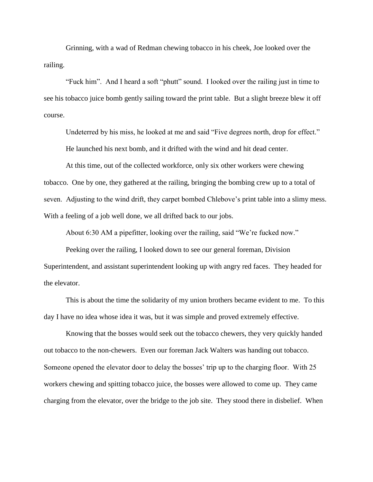Grinning, with a wad of Redman chewing tobacco in his cheek, Joe looked over the railing.

"Fuck him". And I heard a soft "phutt" sound. I looked over the railing just in time to see his tobacco juice bomb gently sailing toward the print table. But a slight breeze blew it off course.

Undeterred by his miss, he looked at me and said "Five degrees north, drop for effect." He launched his next bomb, and it drifted with the wind and hit dead center.

At this time, out of the collected workforce, only six other workers were chewing tobacco. One by one, they gathered at the railing, bringing the bombing crew up to a total of seven. Adjusting to the wind drift, they carpet bombed Chlebove's print table into a slimy mess. With a feeling of a job well done, we all drifted back to our jobs.

About 6:30 AM a pipefitter, looking over the railing, said "We're fucked now."

Peeking over the railing, I looked down to see our general foreman, Division Superintendent, and assistant superintendent looking up with angry red faces. They headed for the elevator.

This is about the time the solidarity of my union brothers became evident to me. To this day I have no idea whose idea it was, but it was simple and proved extremely effective.

Knowing that the bosses would seek out the tobacco chewers, they very quickly handed out tobacco to the non-chewers. Even our foreman Jack Walters was handing out tobacco. Someone opened the elevator door to delay the bosses' trip up to the charging floor. With 25 workers chewing and spitting tobacco juice, the bosses were allowed to come up. They came charging from the elevator, over the bridge to the job site. They stood there in disbelief. When